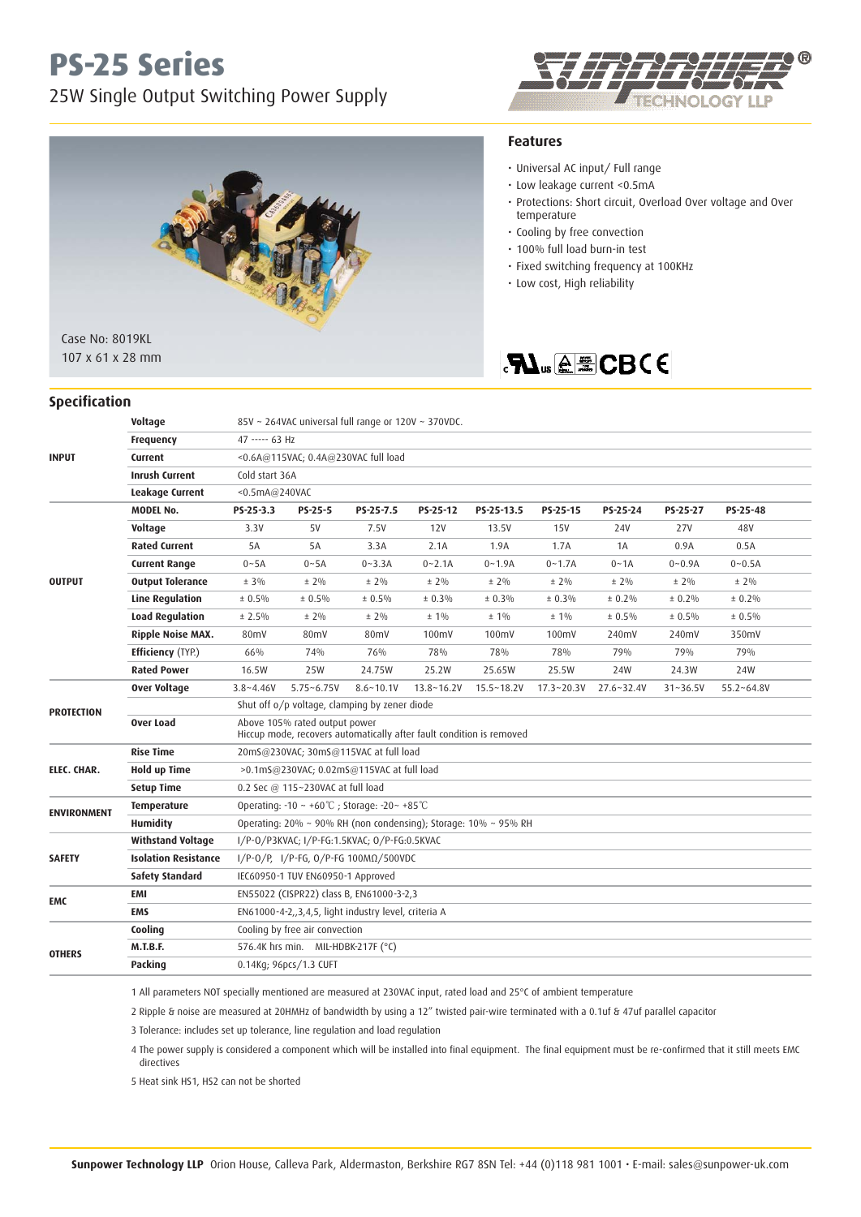# **PS-25 Series**

### 25W Single Output Switching Power Supply





#### **Specification**

#### **Features**

- Universal AC input/ Full range
- Low leakage current <0.5mA
- Protections: Short circuit, Overload Over voltage and Over temperature
- Cooling by free convection
- 100% full load burn-in test
- Fixed switching frequency at 100KHz
- Low cost, High reliability

### **SAL**<sub>us</sub> @ECBCE

| <b>INPUT</b>       | Voltage                     | 85V ~ 264VAC universal full range or 120V ~ 370VDC.                                                   |                                                        |               |                |                |                |                |              |                |  |  |
|--------------------|-----------------------------|-------------------------------------------------------------------------------------------------------|--------------------------------------------------------|---------------|----------------|----------------|----------------|----------------|--------------|----------------|--|--|
|                    | <b>Frequency</b>            | 47 ----- 63 Hz                                                                                        |                                                        |               |                |                |                |                |              |                |  |  |
|                    | Current                     | <0.6A@115VAC; 0.4A@230VAC full load                                                                   |                                                        |               |                |                |                |                |              |                |  |  |
|                    | <b>Inrush Current</b>       | Cold start 36A                                                                                        |                                                        |               |                |                |                |                |              |                |  |  |
|                    | Leakage Current             | <0.5mA@240VAC                                                                                         |                                                        |               |                |                |                |                |              |                |  |  |
| <b>OUTPUT</b>      | <b>MODEL No.</b>            | PS-25-3.3                                                                                             | PS-25-5                                                | PS-25-7.5     | PS-25-12       | PS-25-13.5     | PS-25-15       | PS-25-24       | PS-25-27     | PS-25-48       |  |  |
|                    | <b>Voltage</b>              | 3.3V                                                                                                  | 5V                                                     | 7.5V          | 12V            | 13.5V          | <b>15V</b>     | 24V            | <b>27V</b>   | 48V            |  |  |
|                    | <b>Rated Current</b>        | 5A                                                                                                    | 5A                                                     | 3.3A          | 2.1A           | 1.9A           | 1.7A           | 1A             | 0.9A         | 0.5A           |  |  |
|                    | <b>Current Range</b>        | $0 - 5A$                                                                                              | $0 - 5A$                                               | $0 - 3.3A$    | $0 - 2.1A$     | $0 - 1.9A$     | $0 - 1.7A$     | $0 - 1A$       | $0 - 0.9A$   | $0 - 0.5A$     |  |  |
|                    | <b>Output Tolerance</b>     | $± 3\%$                                                                                               | $± 2\%$                                                | $± 2\%$       | $± 2\%$        | $± 2\%$        | $± 2\%$        | $± 2\%$        | $± 2\%$      | $± 2\%$        |  |  |
|                    | <b>Line Regulation</b>      | ± 0.5%                                                                                                | ± 0.5%                                                 | ± 0.5%        | ± 0.3%         | ± 0.3%         | ± 0.3%         | ± 0.2%         | $± 0.2\%$    | $± 0.2\%$      |  |  |
|                    | <b>Load Regulation</b>      | ± 2.5%                                                                                                | $± 2\%$                                                | $± 2\%$       | $± 1\%$        | $± 1\%$        | $± 1\%$        | ± 0.5%         | $± 0.5\%$    | $± 0.5\%$      |  |  |
|                    | <b>Ripple Noise MAX.</b>    | 80mV                                                                                                  | 80mV                                                   | 80mV          | 100mV          | 100mV          | 100mV          | 240mV          | 240mV        | 350mV          |  |  |
|                    | <b>Efficiency (TYP.)</b>    | 66%                                                                                                   | 74%                                                    | 76%           | 78%            | 78%            | 78%            | 79%            | 79%          | 79%            |  |  |
|                    | <b>Rated Power</b>          | 16.5W                                                                                                 | 25W                                                    | 24.75W        | 25.2W          | 25.65W         | 25.5W          | 24W            | 24.3W        | 24W            |  |  |
| <b>PROTECTION</b>  | <b>Over Voltage</b>         | $3.8 - 4.46V$                                                                                         | $5.75 - 6.75V$                                         | $8.6 - 10.1V$ | $13.8 - 16.2V$ | $15.5 - 18.2V$ | $17.3 - 20.3V$ | $27.6 - 32.4V$ | $31 - 36.5V$ | $55.2 - 64.8V$ |  |  |
|                    |                             | Shut off o/p voltage, clamping by zener diode                                                         |                                                        |               |                |                |                |                |              |                |  |  |
|                    | <b>Over Load</b>            | Above 105% rated output power<br>Hiccup mode, recovers automatically after fault condition is removed |                                                        |               |                |                |                |                |              |                |  |  |
| ELEC. CHAR.        | <b>Rise Time</b>            | 20mS@230VAC; 30mS@115VAC at full load                                                                 |                                                        |               |                |                |                |                |              |                |  |  |
|                    | <b>Hold up Time</b>         | >0.1mS@230VAC; 0.02mS@115VAC at full load                                                             |                                                        |               |                |                |                |                |              |                |  |  |
|                    | <b>Setup Time</b>           | 0.2 Sec @ 115~230VAC at full load                                                                     |                                                        |               |                |                |                |                |              |                |  |  |
| <b>ENVIRONMENT</b> | <b>Temperature</b>          | Operating: $-10 \sim +60^{\circ}$ C; Storage: $-20 \sim +85^{\circ}$ C                                |                                                        |               |                |                |                |                |              |                |  |  |
|                    | <b>Humidity</b>             | Operating: 20% ~ 90% RH (non condensing); Storage: 10% ~ 95% RH                                       |                                                        |               |                |                |                |                |              |                |  |  |
| <b>SAFETY</b>      | <b>Withstand Voltage</b>    | I/P-0/P3KVAC; I/P-FG:1.5KVAC; 0/P-FG:0.5KVAC                                                          |                                                        |               |                |                |                |                |              |                |  |  |
|                    | <b>Isolation Resistance</b> | I/P-0/P, I/P-FG, 0/P-FG 100ΜΩ/500VDC                                                                  |                                                        |               |                |                |                |                |              |                |  |  |
|                    | <b>Safety Standard</b>      | IEC60950-1 TUV EN60950-1 Approved                                                                     |                                                        |               |                |                |                |                |              |                |  |  |
| EMC                | EMI                         | EN55022 (CISPR22) class B, EN61000-3-2,3                                                              |                                                        |               |                |                |                |                |              |                |  |  |
|                    | <b>EMS</b>                  |                                                                                                       | EN61000-4-2, 3, 4, 5, light industry level, criteria A |               |                |                |                |                |              |                |  |  |
| <b>OTHERS</b>      | Cooling                     |                                                                                                       | Cooling by free air convection                         |               |                |                |                |                |              |                |  |  |
|                    | <b>M.T.B.F.</b>             | 576.4K hrs min. MIL-HDBK-217F (°C)                                                                    |                                                        |               |                |                |                |                |              |                |  |  |
|                    | Packing                     | 0.14Kg; 96pcs/1.3 CUFT                                                                                |                                                        |               |                |                |                |                |              |                |  |  |

1 All parameters NOT specially mentioned are measured at 230VAC input, rated load and 25°C of ambient temperature

2 Ripple & noise are measured at 20HMHz of bandwidth by using a 12" twisted pair-wire terminated with a 0.1uf & 47uf parallel capacitor

3 Tolerance: includes set up tolerance, line regulation and load regulation

 4 The power supply is considered a component which will be installed into final equipment. The final equipment must be re-confirmed that it still meets EMC directives

5 Heat sink HS1, HS2 can not be shorted